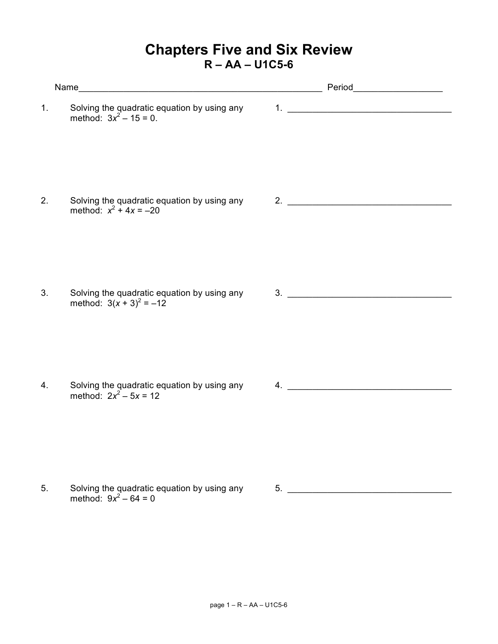## **Chapters Five and Six Review R – AA – U1C5-6**

| 1.               | Solving the quadratic equation by using any 1. _________________________________<br>method: $3x^2 - 15 = 0$ . |                               |  |  |
|------------------|---------------------------------------------------------------------------------------------------------------|-------------------------------|--|--|
| $\overline{2}$ . | Solving the quadratic equation by using any<br>method: $x^2 + 4x = -20$                                       | $2.$ $\overline{\phantom{a}}$ |  |  |
| 3.               | Solving the quadratic equation by using any 3.<br>method: $3(x + 3)^2 = -12$                                  |                               |  |  |
| 4.               | Solving the quadratic equation by using any<br>method: $2x^2 - 5x = 12$                                       | $\overline{4}$ .              |  |  |
| 5.               | Solving the quadratic equation by using any                                                                   | 5.                            |  |  |

method:  $9x^2 - 64 = 0$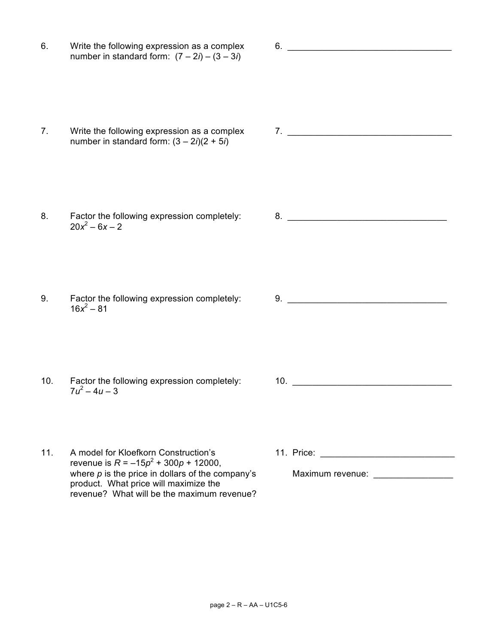6. Write the following expression as a complex 6. \_\_\_\_\_\_\_\_\_\_\_\_\_\_\_\_\_\_\_\_\_\_\_\_\_\_\_\_\_\_ number in standard form:  $(7 – 2i) – (3 – 3i)$ 7. Write the following expression as a complex  $\begin{array}{ccc} 7. & \underline{\hspace{1cm}} & \underline{\hspace{1cm}} & \underline{\hspace{1cm}} & \underline{\hspace{1cm}} & \underline{\hspace{1cm}} & \underline{\hspace{1cm}} & \underline{\hspace{1cm}} & \underline{\hspace{1cm}} & \underline{\hspace{1cm}} & \underline{\hspace{1cm}} & \underline{\hspace{1cm}} & \underline{\hspace{1cm}} & \underline{\hspace{1cm}} & \underline{\hspace{1cm}} & \underline{\hspace{1cm}} & \underline{\hspace{1cm}} & \underline{\$ number in standard form:  $(3 – 2*i*)(2 + 5*i*)$ 8. Factor the following expression completely: 8. \_\_\_\_\_\_\_\_\_\_\_\_\_\_\_\_\_\_\_\_\_\_\_\_\_\_\_\_\_\_  $20x^2 - 6x - 2$ 9. Factor the following expression completely: 9. \_\_\_\_\_\_\_\_\_\_\_\_\_\_\_\_\_\_\_\_\_\_\_\_\_\_\_\_\_\_  $16x^2 - 81$ 10. Factor the following expression completely: 10. \_\_\_\_\_\_\_\_\_\_\_\_\_\_\_\_\_\_\_\_\_\_\_\_\_\_\_\_  $7u^2 - 4u - 3$ 11. A model for Kloefkorn Construction's 11. Price: 11. Price: revenue is  $R = -15p^2 + 300p + 12000$ , where  $\rho$  is the price in dollars of the company's Maximum revenue: product. What price will maximize the revenue? What will be the maximum revenue?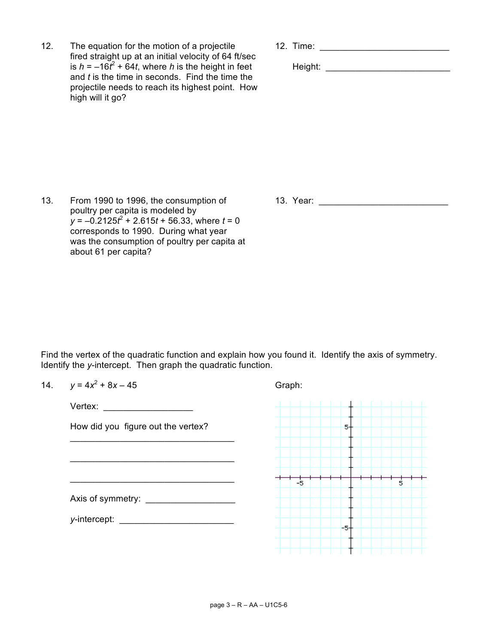12. The equation for the motion of a projectile 12. Time: \_\_\_\_\_\_\_\_\_\_\_\_\_\_\_\_\_\_\_\_\_\_ fired straight up at an initial velocity of 64 ft/sec is  $h = -16t^2 + 64t$ , where h is the height in feet and *t* is the time in seconds. Find the time the projectile needs to reach its highest point. How high will it go?

**Height: \_\_\_\_\_\_\_\_\_\_\_\_\_\_\_\_\_\_\_\_\_\_\_\_\_\_\_\_\_\_\_\_\_\_** 

13. From 1990 to 1996, the consumption of 13. Year: \_\_\_\_\_\_\_\_\_\_\_\_\_\_\_\_\_\_\_\_\_\_\_\_\_\_ poultry per capita is modeled by  $y = -0.2125t^2 + 2.615t + 56.33$ , where  $t = 0$ corresponds to 1990. During what year was the consumption of poultry per capita at about 61 per capita?

Find the vertex of the quadratic function and explain how you found it. Identify the axis of symmetry. Identify the *y*-intercept. Then graph the quadratic function.

| 14. | $y = 4x^2 + 8x - 45$                                                                                                                                                                                                           | Graph:  |  |
|-----|--------------------------------------------------------------------------------------------------------------------------------------------------------------------------------------------------------------------------------|---------|--|
|     | Vertex: and the state of the state of the state of the state of the state of the state of the state of the state of the state of the state of the state of the state of the state of the state of the state of the state of th |         |  |
|     | How did you figure out the vertex?                                                                                                                                                                                             | 5-      |  |
|     |                                                                                                                                                                                                                                |         |  |
|     |                                                                                                                                                                                                                                |         |  |
|     |                                                                                                                                                                                                                                | -5<br>5 |  |
|     | y-intercept: National Communications of the set of the set of the set of the set of the set of the set of the set of the set of the set of the set of the set of the set of the set of the set of the set of the set of the se | -5-     |  |
|     |                                                                                                                                                                                                                                |         |  |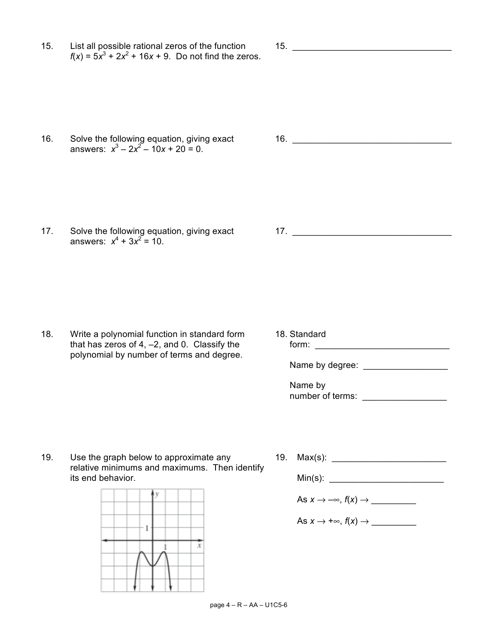15. List all possible rational zeros of the function 15. \_\_\_\_\_\_\_\_\_\_\_\_\_\_\_\_\_\_\_\_\_\_\_  $f(x) = 5x^3 + 2x^2 + 16x + 9$ . Do not find the zeros.

answers:  $x^3 - 2x^2 - 10x + 20 = 0$ .

17. Solve the following equation, giving exact 17. \_\_\_\_\_\_\_\_\_\_\_\_\_\_\_\_\_\_\_\_\_\_\_\_\_\_\_\_\_ answers:  $x^4 + 3x^2 = 10$ .

18. Write a polynomial function in standard form 18. Standard that has zeros of 4, –2, and 0. Classify the form: \_\_\_\_\_\_\_\_\_\_\_\_\_\_\_\_\_\_\_\_\_\_\_\_\_\_\_ polynomial by number of terms and degree.

Name by degree: \_\_\_\_\_\_\_\_\_\_\_\_\_\_\_\_\_

Name by number of terms:

19. Use the graph below to approximate any 19. Max(s): \_\_\_\_\_\_\_\_\_\_\_\_\_\_\_\_\_\_\_\_\_\_\_\_\_ relative minimums and maximums. Then identify its end behavior. The same state of the Min(s): the Min(s):

> v  $\mathbf{1}$  $\overline{x}$ 1

As *x* → –∞, *f*(*x*) → \_\_\_\_\_\_\_\_\_ As  $x \to +\infty$ ,  $f(x) \to$ 

16. Solve the following equation, giving exact 16. \_\_\_\_\_\_\_\_\_\_\_\_\_\_\_\_\_\_\_\_\_\_\_\_\_\_\_\_\_